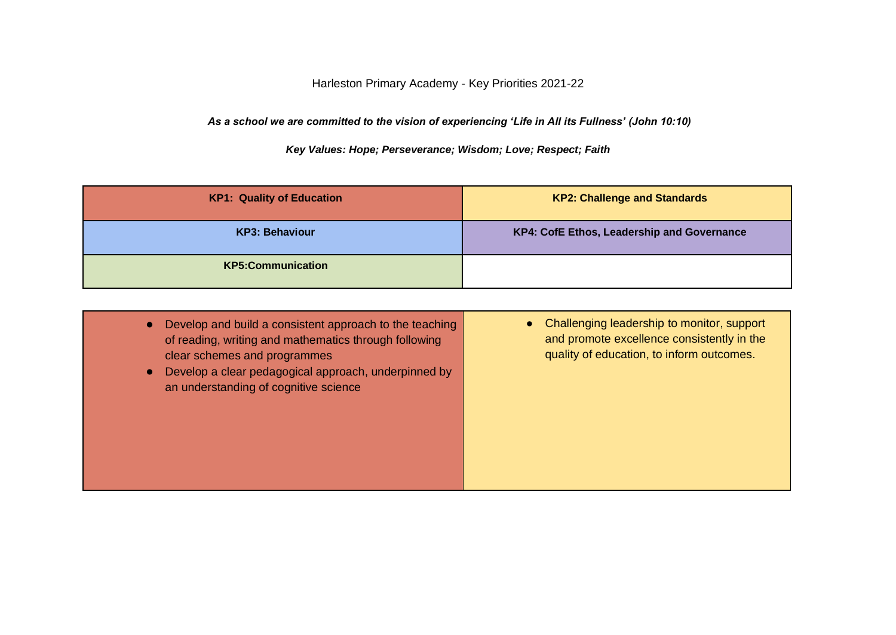Harleston Primary Academy - Key Priorities 2021-22

*As a school we are committed to the vision of experiencing 'Life in All its Fullness' (John 10:10)*

*Key Values: Hope; Perseverance; Wisdom; Love; Respect; Faith* 

| <b>KP1: Quality of Education</b> | <b>KP2: Challenge and Standards</b>        |
|----------------------------------|--------------------------------------------|
| KP3: Behaviour                   | KP4: CofE Ethos, Leadership and Governance |
| <b>KP5:Communication</b>         |                                            |

| Develop and build a consistent approach to the teaching<br>$\bullet$<br>of reading, writing and mathematics through following<br>clear schemes and programmes<br>Develop a clear pedagogical approach, underpinned by<br>$\bullet$<br>an understanding of cognitive science | • Challenging leadership to monitor, support<br>and promote excellence consistently in the<br>quality of education, to inform outcomes. |
|-----------------------------------------------------------------------------------------------------------------------------------------------------------------------------------------------------------------------------------------------------------------------------|-----------------------------------------------------------------------------------------------------------------------------------------|
|-----------------------------------------------------------------------------------------------------------------------------------------------------------------------------------------------------------------------------------------------------------------------------|-----------------------------------------------------------------------------------------------------------------------------------------|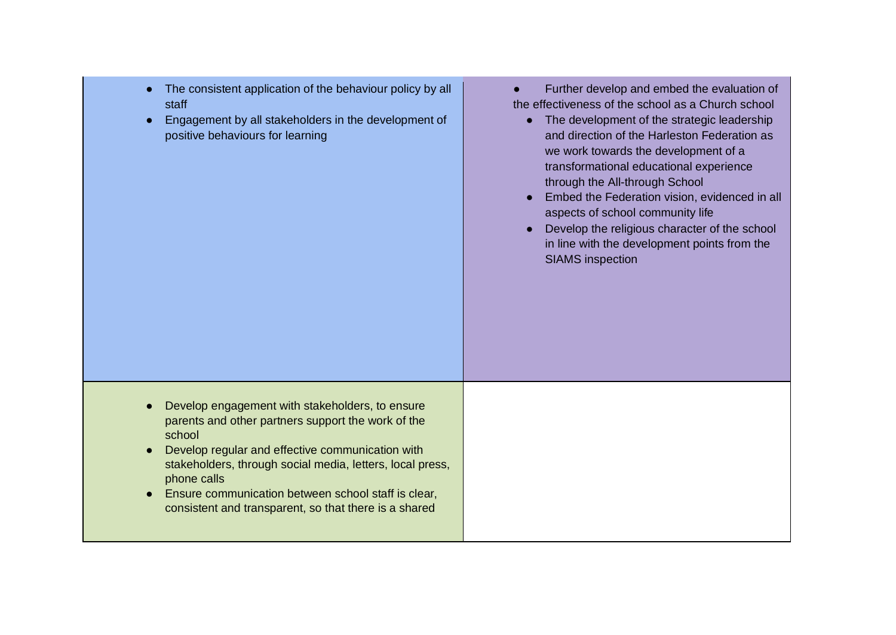| $\bullet$ | The consistent application of the behaviour policy by all |  |
|-----------|-----------------------------------------------------------|--|
|           | staff                                                     |  |

Engagement by all stakeholders in the development of positive behaviours for learning

● Further develop and embed the evaluation of the effectiveness of the school as a Church school

- The development of the strategic leadership and direction of the Harleston Federation as we work towards the development of a transformational educational experience through the All-through School
- Embed the Federation vision, evidenced in all aspects of school community life
- Develop the religious character of the school in line with the development points from the SIAMS inspection

- Develop engagement with stakeholders, to ensure parents and other partners support the work of the school
- Develop regular and effective communication with stakeholders, through social media, letters, local press, phone calls
- Ensure communication between school staff is clear, consistent and transparent, so that there is a shared